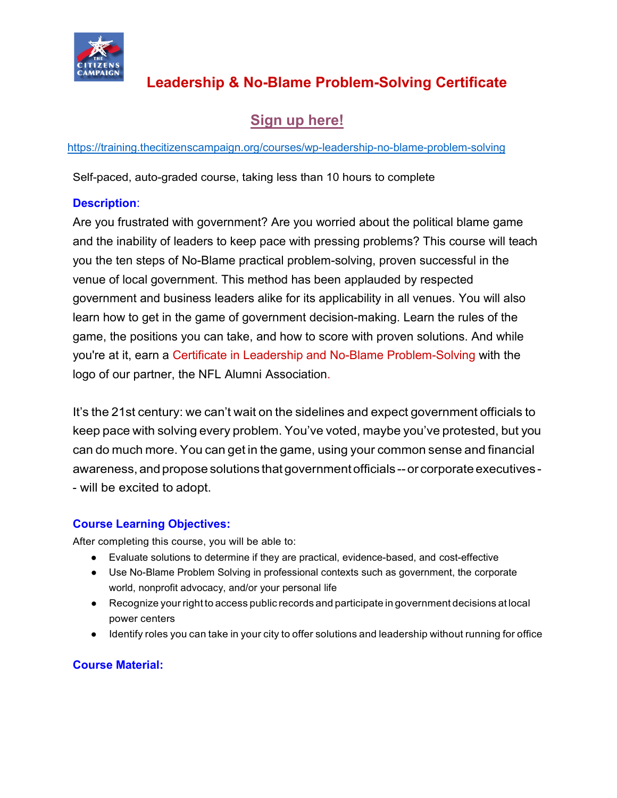

# **Leadership & No-Blame Problem-Solving Certificate**

## **[Sign up here!](https://training.thecitizenscampaign.org/courses/wp-leadership-no-blame-problem-solving)**

<https://training.thecitizenscampaign.org/courses/wp-leadership-no-blame-problem-solving>

Self-paced, auto-graded course, taking less than 10 hours to complete

### **Description**:

Are you frustrated with government? Are you worried about the political blame game and the inability of leaders to keep pace with pressing problems? This course will teach you the ten steps of No-Blame practical problem-solving, proven successful in the venue of local government. This method has been applauded by respected government and business leaders alike for its applicability in all venues. You will also learn how to get in the game of government decision-making. Learn the rules of the game, the positions you can take, and how to score with proven solutions. And while you're at it, earn a Certificate in Leadership and No-Blame Problem-Solving with the logo of our partner, the NFL Alumni Association.

It's the 21st century: we can't wait on the sidelines and expect government officials to keep pace with solving every problem. You've voted, maybe you've protested, but you can do much more. You can get in the game, using your common sense and financial awareness, and propose solutions that government officials -- or corporate executives -- will be excited to adopt.

### **Course Learning Objectives:**

After completing this course, you will be able to:

- Evaluate solutions to determine if they are practical, evidence-based, and cost-effective
- Use No-Blame Problem Solving in professional contexts such as government, the corporate world, nonprofit advocacy, and/or your personal life
- Recognize your right to access public records and participate in government decisions at local power centers
- Identify roles you can take in your city to offer solutions and leadership without running for office

### **Course Material:**